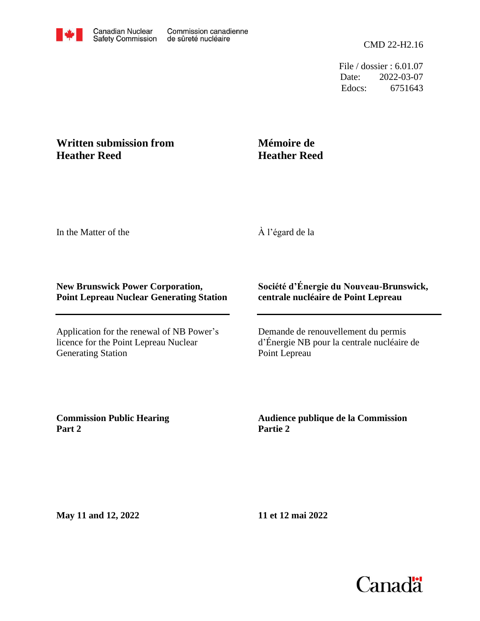File / dossier : 6.01.07 Date: 2022-03-07 Edocs: 6751643

## **Written submission from Heather Reed**

## **Mémoire de Heather Reed**

In the Matter of the

À l'égard de la

## **New Brunswick Power Corporation, Point Lepreau Nuclear Generating Station**

Application for the renewal of NB Power's licence for the Point Lepreau Nuclear Generating Station

## **Société d'Énergie du Nouveau-Brunswick, centrale nucléaire de Point Lepreau**

Demande de renouvellement du permis d'Énergie NB pour la centrale nucléaire de Point Lepreau

**Commission Public Hearing Part 2**

**Audience publique de la Commission Partie 2**

**May 11 and 12, 2022**

**11 et 12 mai 2022**